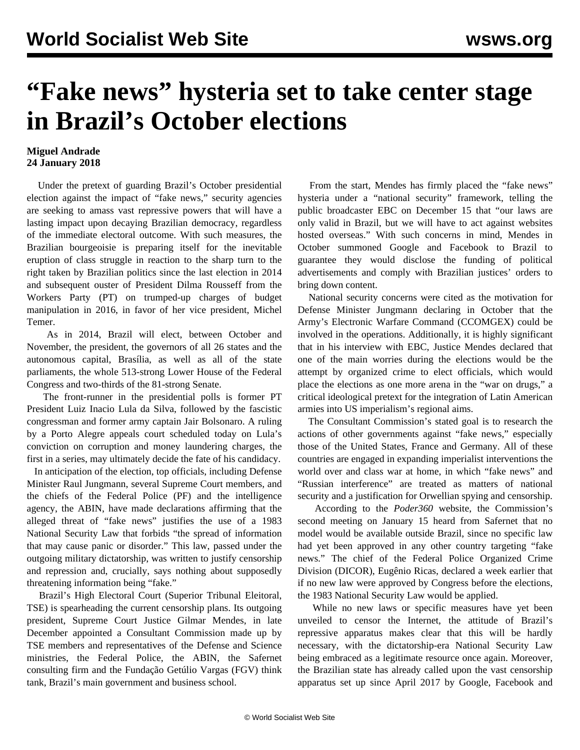## **"Fake news" hysteria set to take center stage in Brazil's October elections**

## **Miguel Andrade 24 January 2018**

 Under the pretext of guarding Brazil's October presidential election against the impact of "fake news," security agencies are seeking to amass vast repressive powers that will have a lasting impact upon decaying Brazilian democracy, regardless of the immediate electoral outcome. With such measures, the Brazilian bourgeoisie is preparing itself for the inevitable eruption of class struggle in reaction to the sharp turn to the right taken by Brazilian politics since the last election in 2014 and subsequent ouster of President Dilma Rousseff from the Workers Party (PT) on trumped-up charges of budget manipulation in 2016, in favor of her vice president, Michel Temer.

 As in 2014, Brazil will elect, between October and November, the president, the governors of all 26 states and the autonomous capital, Brasília, as well as all of the state parliaments, the whole 513-strong Lower House of the Federal Congress and two-thirds of the 81-strong Senate.

 The front-runner in the presidential polls is former PT President Luiz Inacio Lula da Silva, followed by the fascistic congressman and former army captain Jair Bolsonaro. A ruling by a Porto Alegre appeals court scheduled today on Lula's conviction on corruption and money laundering charges, the first in a series, may ultimately decide the fate of his candidacy.

 In anticipation of the election, top officials, including Defense Minister Raul Jungmann, several Supreme Court members, and the chiefs of the Federal Police (PF) and the intelligence agency, the ABIN, have made declarations affirming that the alleged threat of "fake news" justifies the use of a 1983 National Security Law that forbids "the spread of information that may cause panic or disorder." This law, passed under the outgoing military dictatorship, was written to justify censorship and repression and, crucially, says nothing about supposedly threatening information being "fake."

 Brazil's High Electoral Court (Superior Tribunal Eleitoral, TSE) is spearheading the current censorship plans. Its outgoing president, Supreme Court Justice Gilmar Mendes, in late December appointed a Consultant Commission made up by TSE members and representatives of the Defense and Science ministries, the Federal Police, the ABIN, the Safernet consulting firm and the Fundação Getúlio Vargas (FGV) think tank, Brazil's main government and business school.

 From the start, Mendes has firmly placed the "fake news" hysteria under a "national security" framework, telling the public broadcaster EBC on December 15 that "our laws are only valid in Brazil, but we will have to act against websites hosted overseas." With such concerns in mind, Mendes in October summoned Google and Facebook to Brazil to guarantee they would disclose the funding of political advertisements and comply with Brazilian justices' orders to bring down content.

 National security concerns were cited as the motivation for Defense Minister Jungmann declaring in October that the Army's Electronic Warfare Command (CCOMGEX) could be involved in the operations. Additionally, it is highly significant that in his interview with EBC, Justice Mendes declared that one of the main worries during the elections would be the attempt by organized crime to elect officials, which would place the elections as one more arena in the "war on drugs," a critical ideological pretext for the integration of Latin American armies into US imperialism's regional aims.

 The Consultant Commission's stated goal is to research the actions of other governments against "fake news," especially those of the United States, France and Germany. All of these countries are engaged in expanding imperialist interventions the world over and class war at home, in which "fake news" and "Russian interference" are treated as matters of national security and a justification for Orwellian spying and censorship.

 According to the *Poder360* website, the Commission's second meeting on January 15 heard from Safernet that no model would be available outside Brazil, since no specific law had yet been approved in any other country targeting "fake news." The chief of the Federal Police Organized Crime Division (DICOR), Eugênio Ricas, declared a week earlier that if no new law were approved by Congress before the elections, the 1983 National Security Law would be applied.

 While no new laws or specific measures have yet been unveiled to censor the Internet, the attitude of Brazil's repressive apparatus makes clear that this will be hardly necessary, with the dictatorship-era National Security Law being embraced as a legitimate resource once again. Moreover, the Brazilian state has already called upon the vast censorship apparatus set up since April 2017 by Google, Facebook and